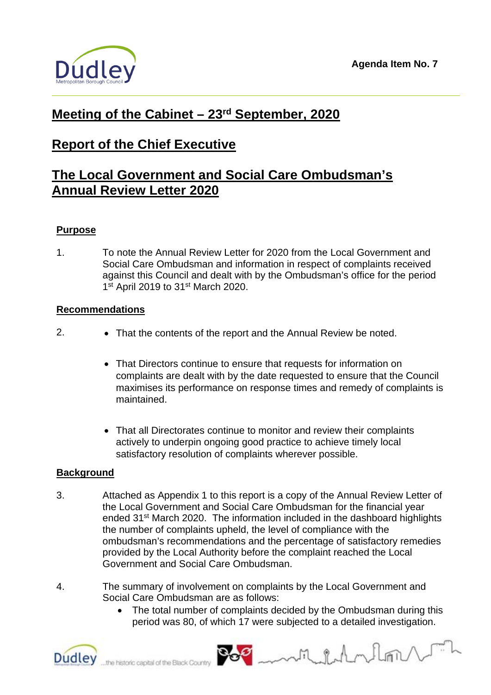

# **Meeting of the Cabinet – 23rd September, 2020**

# **Report of the Chief Executive**

## **The Local Government and Social Care Ombudsman's Annual Review Letter 2020**

### **Purpose**

1. To note the Annual Review Letter for 2020 from the Local Government and Social Care Ombudsman and information in respect of complaints received against this Council and dealt with by the Ombudsman's office for the period  $1<sup>st</sup>$  April 2019 to 31<sup>st</sup> March 2020.

### **Recommendations**

- 2. That the contents of the report and the Annual Review be noted.
	- That Directors continue to ensure that requests for information on complaints are dealt with by the date requested to ensure that the Council maximises its performance on response times and remedy of complaints is maintained.
	- That all Directorates continue to monitor and review their complaints actively to underpin ongoing good practice to achieve timely local satisfactory resolution of complaints wherever possible.

### **Background**

- 3. Attached as Appendix 1 to this report is a copy of the Annual Review Letter of the Local Government and Social Care Ombudsman for the financial year ended 31<sup>st</sup> March 2020. The information included in the dashboard highlights the number of complaints upheld, the level of compliance with the ombudsman's recommendations and the percentage of satisfactory remedies provided by the Local Authority before the complaint reached the Local Government and Social Care Ombudsman.
- 4. The summary of involvement on complaints by the Local Government and Social Care Ombudsman are as follows:
	- The total number of complaints decided by the Ombudsman during this period was 80, of which 17 were subjected to a detailed investigation.



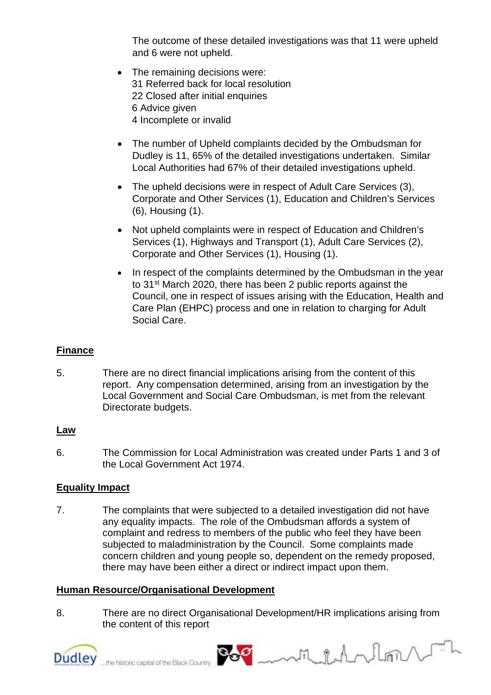The outcome of these detailed investigations was that 11 were upheld and 6 were not upheld.

- The remaining decisions were: 31 Referred back for local resolution 22 Closed after initial enquiries 6 Advice given 4 Incomplete or invalid
- The number of Upheld complaints decided by the Ombudsman for Dudley is 11, 65% of the detailed investigations undertaken. Similar Local Authorities had 67% of their detailed investigations upheld.
- The upheld decisions were in respect of Adult Care Services (3), Corporate and Other Services (1), Education and Children's Services (6), Housing (1).
- Not upheld complaints were in respect of Education and Children's Services (1), Highways and Transport (1), Adult Care Services (2), Corporate and Other Services (1), Housing (1).
- In respect of the complaints determined by the Ombudsman in the year to 31<sup>st</sup> March 2020, there has been 2 public reports against the Council, one in respect of issues arising with the Education, Health and Care Plan (EHPC) process and one in relation to charging for Adult Social Care.

### **Finance**

5. There are no direct financial implications arising from the content of this report. Any compensation determined, arising from an investigation by the Local Government and Social Care Ombudsman, is met from the relevant Directorate budgets.

### **Law**

6. The Commission for Local Administration was created under Parts 1 and 3 of the Local Government Act 1974.

## **Equality Impact**

7. The complaints that were subjected to a detailed investigation did not have any equality impacts. The role of the Ombudsman affords a system of complaint and redress to members of the public who feel they have been subjected to maladministration by the Council. Some complaints made concern children and young people so, dependent on the remedy proposed, there may have been either a direct or indirect impact upon them.

## **Human Resource/Organisational Development**

8. There are no direct Organisational Development/HR implications arising from the content of this report